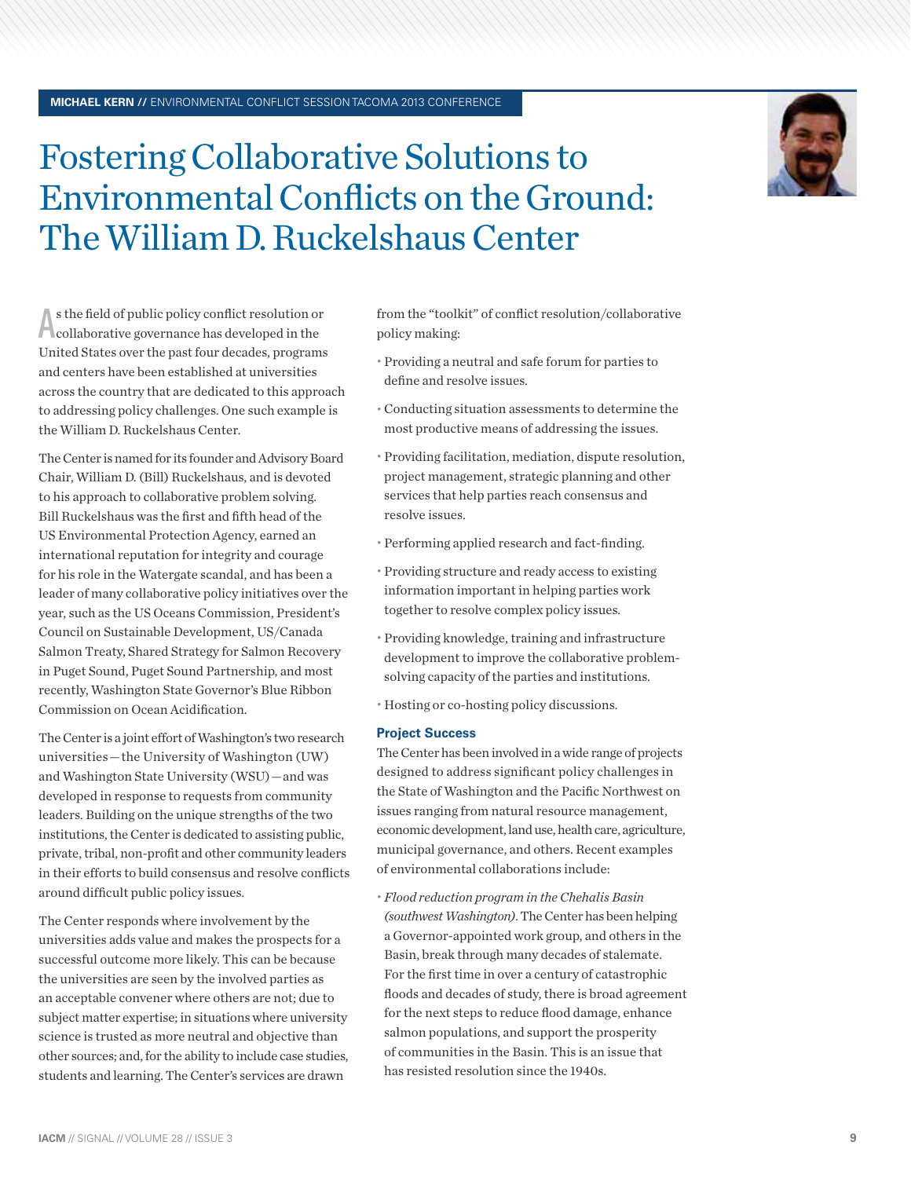## **MICHAEL KERN //** ENVIRONMENTAL CONFLICT SESSION TACOMA 2013 CONFERENCE

## Fostering Collaborative Solutions to Environmental Conflicts on the Ground: The William D. Ruckelshaus Center

A s the field of public policy conflict resolution of collaborative governance has developed in the s the field of public policy conflict resolution or United States over the past four decades, programs and centers have been established at universities across the country that are dedicated to this approach to addressing policy challenges. One such example is the William D. Ruckelshaus Center.

The Center is named for its founder and Advisory Board Chair, William D. (Bill) Ruckelshaus, and is devoted to his approach to collaborative problem solving. Bill Ruckelshaus was the first and fifth head of the US Environmental Protection Agency, earned an international reputation for integrity and courage for his role in the Watergate scandal, and has been a leader of many collaborative policy initiatives over the year, such as the US Oceans Commission, President's Council on Sustainable Development, US/Canada Salmon Treaty, Shared Strategy for Salmon Recovery in Puget Sound, Puget Sound Partnership, and most recently, Washington State Governor's Blue Ribbon Commission on Ocean Acidification.

The Center is a joint effort of Washington's two research universities — the University of Washington (UW) and Washington State University (WSU) — and was developed in response to requests from community leaders. Building on the unique strengths of the two institutions, the Center is dedicated to assisting public, private, tribal, non-profit and other community leaders in their efforts to build consensus and resolve conflicts around difficult public policy issues.

The Center responds where involvement by the universities adds value and makes the prospects for a successful outcome more likely. This can be because the universities are seen by the involved parties as an acceptable convener where others are not; due to subject matter expertise; in situations where university science is trusted as more neutral and objective than other sources; and, for the ability to include case studies, students and learning. The Center's services are drawn

from the "toolkit" of conflict resolution/collaborative policy making:

- Providing a neutral and safe forum for parties to define and resolve issues.
- Conducting situation assessments to determine the most productive means of addressing the issues.
- Providing facilitation, mediation, dispute resolution, project management, strategic planning and other services that help parties reach consensus and resolve issues.
- Performing applied research and fact-finding.
- Providing structure and ready access to existing information important in helping parties work together to resolve complex policy issues.
- Providing knowledge, training and infrastructure development to improve the collaborative problemsolving capacity of the parties and institutions.

Hosting or co-hosting policy discussions.

## **Project Success**

The Center has been involved in a wide range of projects designed to address significant policy challenges in the State of Washington and the Pacific Northwest on issues ranging from natural resource management, economic development, land use, health care, agriculture, municipal governance, and others. Recent examples of environmental collaborations include:

 *Flood reduction program in the Chehalis Basin (southwest Washington)*. The Center has been helping a Governor-appointed work group, and others in the Basin, break through many decades of stalemate. For the first time in over a century of catastrophic floods and decades of study, there is broad agreement for the next steps to reduce flood damage, enhance salmon populations, and support the prosperity of communities in the Basin. This is an issue that has resisted resolution since the 1940s.